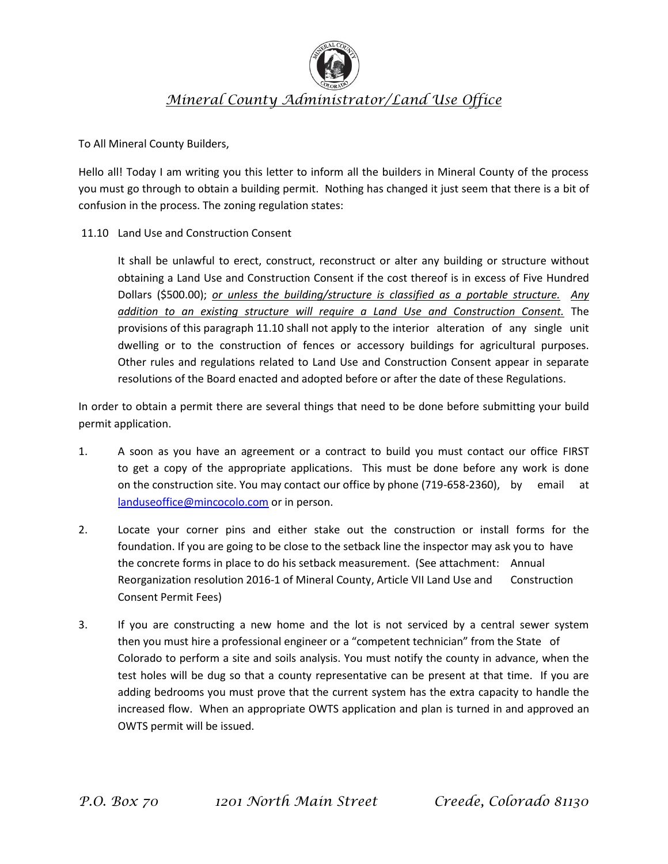

## *Mineral County Administrator/Land Use Office*

To All Mineral County Builders,

Hello all! Today I am writing you this letter to inform all the builders in Mineral County of the process you must go through to obtain a building permit. Nothing has changed it just seem that there is a bit of confusion in the process. The zoning regulation states:

## 11.10 Land Use and Construction Consent

It shall be unlawful to erect, construct, reconstruct or alter any building or structure without obtaining a Land Use and Construction Consent if the cost thereof is in excess of Five Hundred Dollars (\$500.00); *or unless the building/structure is classified as a portable structure. Any addition to an existing structure will require a Land Use and Construction Consent.* The provisions of this paragraph 11.10 shall not apply to the interior alteration of any single unit dwelling or to the construction of fences or accessory buildings for agricultural purposes. Other rules and regulations related to Land Use and Construction Consent appear in separate resolutions of the Board enacted and adopted before or after the date of these Regulations.

In order to obtain a permit there are several things that need to be done before submitting your build permit application.

- 1. A soon as you have an agreement or a contract to build you must contact our office FIRST to get a copy of the appropriate applications. This must be done before any work is done on the construction site. You may contact our office by phone (719-658-2360), by email at [landuseoffice@mincocolo.com](mailto:landuseoffice@mincocolo.com) or in person.
- 2. Locate your corner pins and either stake out the construction or install forms for the foundation. If you are going to be close to the setback line the inspector may ask you to have the concrete forms in place to do his setback measurement. (See attachment: Annual Reorganization resolution 2016-1 of Mineral County, Article VII Land Use and Construction Consent Permit Fees)
- 3. If you are constructing a new home and the lot is not serviced by a central sewer system then you must hire a professional engineer or a "competent technician" from the State of Colorado to perform a site and soils analysis. You must notify the county in advance, when the test holes will be dug so that a county representative can be present at that time. If you are adding bedrooms you must prove that the current system has the extra capacity to handle the increased flow. When an appropriate OWTS application and plan is turned in and approved an OWTS permit will be issued.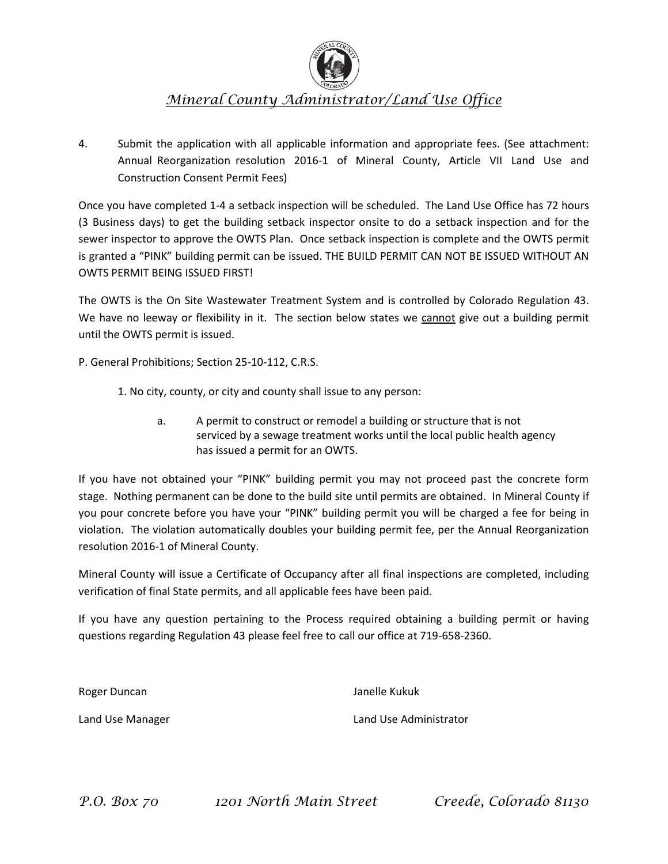

## *Mineral County Administrator/Land Use Office*

4. Submit the application with all applicable information and appropriate fees. (See attachment: Annual Reorganization resolution 2016-1 of Mineral County, Article VII Land Use and Construction Consent Permit Fees)

Once you have completed 1-4 a setback inspection will be scheduled. The Land Use Office has 72 hours (3 Business days) to get the building setback inspector onsite to do a setback inspection and for the sewer inspector to approve the OWTS Plan. Once setback inspection is complete and the OWTS permit is granted a "PINK" building permit can be issued. THE BUILD PERMIT CAN NOT BE ISSUED WITHOUT AN OWTS PERMIT BEING ISSUED FIRST!

The OWTS is the On Site Wastewater Treatment System and is controlled by Colorado Regulation 43. We have no leeway or flexibility in it. The section below states we cannot give out a building permit until the OWTS permit is issued.

P. General Prohibitions; Section 25-10-112, C.R.S.

- 1. No city, county, or city and county shall issue to any person:
	- a. A permit to construct or remodel a building or structure that is not serviced by a sewage treatment works until the local public health agency has issued a permit for an OWTS.

If you have not obtained your "PINK" building permit you may not proceed past the concrete form stage. Nothing permanent can be done to the build site until permits are obtained. In Mineral County if you pour concrete before you have your "PINK" building permit you will be charged a fee for being in violation. The violation automatically doubles your building permit fee, per the Annual Reorganization resolution 2016-1 of Mineral County.

Mineral County will issue a Certificate of Occupancy after all final inspections are completed, including verification of final State permits, and all applicable fees have been paid.

If you have any question pertaining to the Process required obtaining a building permit or having questions regarding Regulation 43 please feel free to call our office at 719-658-2360.

Roger Duncan **Janelle Kukuk** 

Land Use Manager Land Use Administrator

*P.O. Box 70 1201 North Main Street Creede, Colorado 81130*